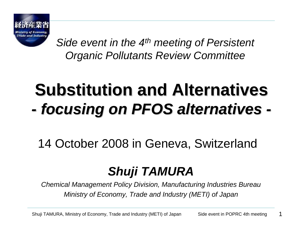

*Side event in the 4th meeting of Persistent Organic Pollutants Review Committee*

#### **Substitution and Alternatives** *-focusing on PFOS alternatives focusing on PFOS alternatives -*

14 October 2008 in Geneva, Switzerland

# *Shuji TAMURA*

*Chemical Management Policy Division, Manufacturing Industries Bureau Ministry of Economy, Trade and Industry (METI) of Japan*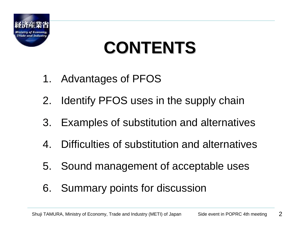

# **CONTENTS CONTENTS**

- 1. Advantages of PFOS
- 2. Identify PFOS uses in the supply chain
- 3. Examples of substitution and alternatives
- 4. Difficulties of substitution and alternatives
- 5. Sound management of acceptable uses
- 6. Summary points for discussion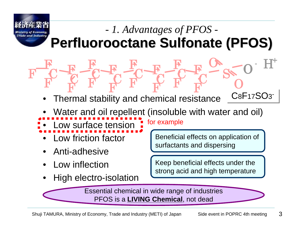

**F** 

 $\bf C$ 

**F** 

**F** 

### **Perfluorooctane Sulfonate (PFOS)** *- 1. Advantages of PFOS -*

**F** 

**F** 

S

O

**F** 

C

**F** 

C

**F** 

F

C

• Thermal stability and chemical resistance

**F** 

**F** 

C

- Water and oil repellent (insoluble with water and oil)
- Low surface tensionfor example

**F** 

**F** 

**F** 

C

**F** 

C

- Low friction factor
- Anti-adhesive

C

**F** 

**F** 

- Low inflection
- High electro-isolation

Beneficial effects on application of surfactants and dispersing

C8F17SO3-

 $\mathbf 0$ 

+

 $\rm H$ 

O

Keep beneficial effects under the strong acid and high temperature

Essential chemical in wide range of industries PFOS is a **LIVING Chemical**, not dead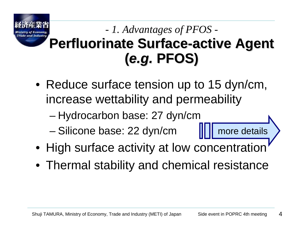# **Perfluorinate Surface Perfluorinate Surface -active Agent active Agent (***e.g.***PFOS)**  *- 1. Advantages of PFOS -*

- Reduce surface tension up to 15 dyn/cm, increase wettability and permeability
	- Hydrocarbon base: 27 dyn/cm
	- Silicone base: 22 dyn/cm
- High surface activity at low concentration

more details

• Thermal stability and chemical resistance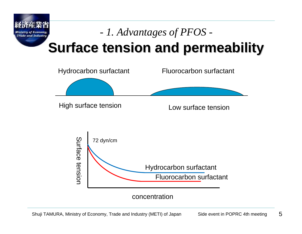

# **Surface tension and permeability Surface tension and permeability** *- 1. Advantages of PFOS -*

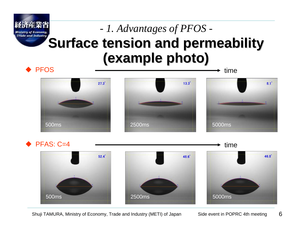

# **Surface tension and permeability (example photo) (example photo)** *- 1. Advantages of PFOS -*



◆PFAS: C=4



Shuji TAMURA, Ministry of Economy, Trade and Industry (METI) of Japan Side event in POPRC 4th meeting

6

time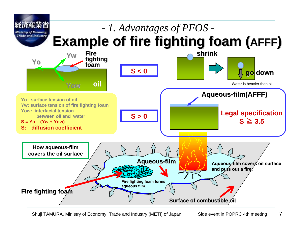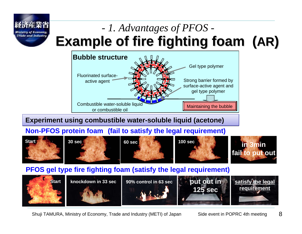

# *- 1. Advantages of PFOS -* **Example of fire fighting foam ( Example of fire fighting foam (AR)**



#### **Experiment using combustible water-soluble liquid (acetone) Experiment using combustible water-soluble liquid (acetone)**

#### **Non-PFOS protein foam (fail to satisfy the legal requirement)**



#### **PFOS gel type fire fighting foam (satisfy the legal requirement)**

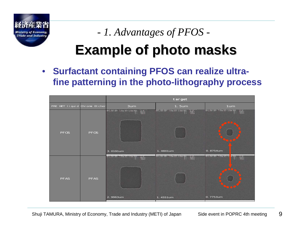

# *- 1. Advantages of PFOS -*

# **Example of photo masks Example of photo masks**

• **Surfactant containing PFOS can realize ultrafine patterning in the photo-lithography process**

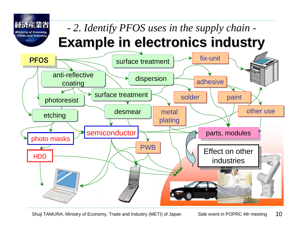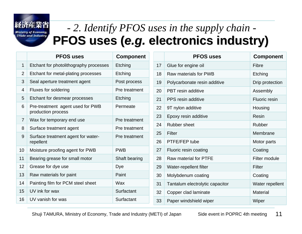**Ministry of Economy Trade and Industry** 

### **PFOS uses ( PFOS uses (***e.g.***electronics industry) electronics industry)** *- 2. Identify PFOS uses in the supply chain -*

|                 | <b>PFOS uses</b>                                       | <b>Component</b> |
|-----------------|--------------------------------------------------------|------------------|
| 1               | Etchant for photolithography processes                 | Etching          |
| $\overline{2}$  | Etchant for metal-plating processes                    | Etching          |
| 3               | Seal aperture treatment agent                          | Post process     |
| 4               | <b>Fluxes for soldering</b>                            | Pre treatment    |
| 5               | Etchant for desmear processes                          | Etching          |
| 6               | Pre-treatment agent used for PWB<br>production process | Permeate         |
| 7               | Wax for temporary end use                              | Pre treatment    |
| 8               | Surface treatment agent                                | Pre treatment    |
| 9               | Surface treatment agent for water-<br>repellent        | Pre treatment    |
| 10              | Moisture proofing agent for PWB                        | <b>PWB</b>       |
| 11              | Bearing grease for small motor                         | Shaft bearing    |
| 12 <sup>2</sup> | Grease for dye use                                     | Dye              |
| 13              | Raw materials for paint                                | Paint            |
| 14              | Painting film for PCM steel sheet                      | Wax              |
| 15              | UV ink for wax                                         | Surfactant       |
| 16              | UV vanish for was                                      | Surfactant       |

|    | <b>PFOS uses</b>                | <b>Component</b>     |
|----|---------------------------------|----------------------|
| 17 | Glue for engine oil             | Fibre                |
| 18 | Raw materials for PWB           | Etching              |
| 19 | Polycarbonate resin additive    | Drip protection      |
| 20 | <b>PBT</b> resin additive       | Assembly             |
| 21 | PPS resin additive              | <b>Fluoric resin</b> |
| 22 | 9T nylon additive               | Housing              |
| 23 | Epoxy resin additive            | <b>Resin</b>         |
| 24 | <b>Rubber sheet</b>             | <b>Rubber</b>        |
| 25 | Filter                          | Membrane             |
| 26 | PTFE/FEP tube                   | Motor parts          |
| 27 | Fluoric resin coating           | Coating              |
| 28 | Raw material for PTFE           | Filter module        |
| 29 | Water-repellent filter          | Filter               |
| 30 | Molybdenum coating              | Coating              |
| 31 | Tantalum electrolytic capacitor | Water repellent      |
| 32 | Copper clad laminate            | <b>Material</b>      |
| 33 | Paper windshield wiper          | Wiper                |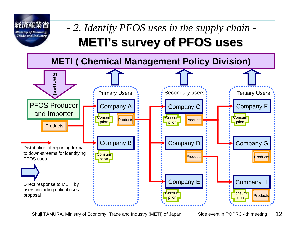![](_page_11_Picture_0.jpeg)

## **METI's survey of PFOS uses** *- 2. Identify PFOS uses in the supply chain -*

![](_page_11_Figure_2.jpeg)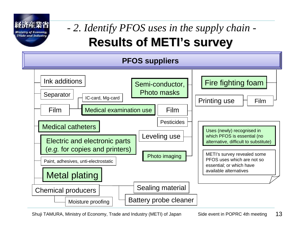Trade and Indi

# **Results of METI's survey** *- 2. Identify PFOS uses in the supply chain -*

![](_page_12_Figure_2.jpeg)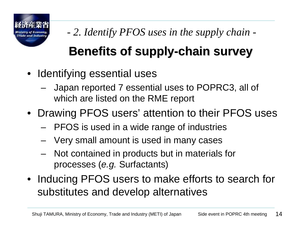![](_page_13_Picture_0.jpeg)

*- 2. Identify PFOS uses in the supply chain -*

# **Benefits of supply Benefits of supply-chain survey chain survey**

- Identifying essential uses
	- Japan reported 7 essential uses to POPRC3, all of which are listed on the RME report
- Drawing PFOS users' attention to their PFOS uses
	- PFOS is used in a wide range of industries
	- Very small amount is used in many cases
	- Not contained in products but in materials for processes (*e.g.* Surfactants)
- Inducing PFOS users to make efforts to search for substitutes and develop alternatives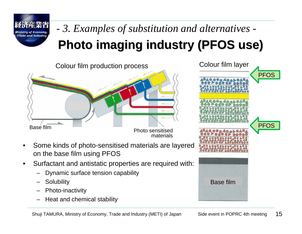![](_page_14_Picture_0.jpeg)

# **Photo imaging industry (PFOS use) Photo imaging industry (PFOS use)** *- 3. Examples of substitution and alternatives -*

Colour film production process

![](_page_14_Figure_3.jpeg)

![](_page_14_Figure_4.jpeg)

- Surfactant and antistatic properties are required with:
	- Dynamic surface tension capability
	- **Solubility**
	- Photo-inactivity
	- Heat and chemical stability

![](_page_14_Picture_10.jpeg)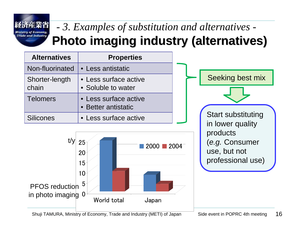Trade and Industri

# **Photo imaging industry (alternatives) Photo imaging industry (alternatives)** *- 3. Examples of substitution and alternatives -*

| <b>Alternatives</b>     | <b>Properties</b>                            |  |
|-------------------------|----------------------------------------------|--|
| Non-fluorinated         | • Less antistatic                            |  |
| Shorter-length<br>chain | • Less surface active<br>• Soluble to water  |  |
| <b>Telomers</b>         | • Less surface active<br>• Better antistatic |  |
| <b>Silicones</b>        | • Less surface active                        |  |

0510152025World total Japan  $\sqrt[1]{}$  25  $\sqrt[1]{}$  2000 2004 PFOS reduction in photo imaging

![](_page_15_Figure_4.jpeg)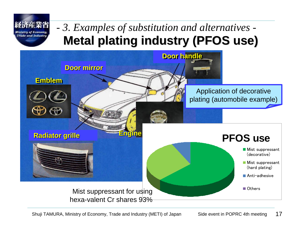![](_page_16_Picture_0.jpeg)

#### **Metal plating industry (PFOS use) Metal plating industry (PFOS use)** *- 3. Examples of substitution and alternatives -*

![](_page_16_Figure_2.jpeg)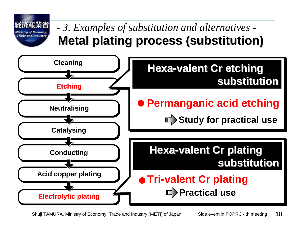![](_page_17_Figure_0.jpeg)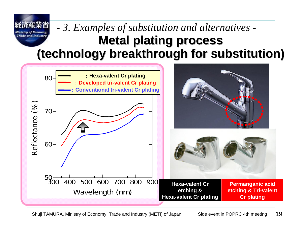### **Metal plating process Metal plating process (technology breakthrough for substitution) (technology breakthrough for substitution)** *- 3. Examples of substitution and alternatives -*

![](_page_18_Figure_1.jpeg)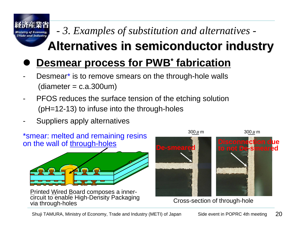# *- 3. Examples of substitution and alternatives -*

# **Alternatives in semiconductor industry Alternatives in semiconductor industry**

#### $\bullet$ **Desmear process for PWB\* fabrication**

- Desmear<sup>\*</sup> is to remove smears on the through-hole walls  $(diameter = c.a.300um)$
- PFOS reduces the surface tension of the etching solution (pH=12-13) to infuse into the through-holes
- Suppliers apply alternatives

rade and Industri

![](_page_19_Figure_6.jpeg)

Printed Wired Board composes a innercircuit to enable High-Density Packaging<br>via through-holes

![](_page_19_Picture_8.jpeg)

Cross-section of through-hole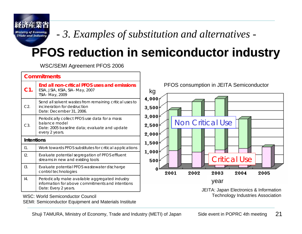Trade and Industry

*- 3. Examples of substitution and alternatives -*

# **PFOS reduction in semiconductor industry PFOS reduction in semiconductor industry**

WSC/SEMI Agreement PFOS 2006

| <b>Commitments</b> |                                                                                                                                   |                                                    |
|--------------------|-----------------------------------------------------------------------------------------------------------------------------------|----------------------------------------------------|
| $C1$ .             | End all non-critical PFOS uses and emissions<br>ESIA, JSIA, KSIA, SIA-May, 2007<br>TSIA- May, 2009                                | PFOS consumption in JEITA Semiconductor<br>kg      |
| C2.                | Send all solvent wastes from remaining critical uses to<br>incineration for destruction<br>Date: December 31, 2006.               | $4,000$ <sub>1</sub><br>3,500                      |
| C3.                | Periodically collect PFOS use data for a mass<br>balance model<br>Date: 2005 baseline data; evaluate and update<br>every 2 years. | 3,000<br><b>Non Critical Use</b><br>2,500<br>2,000 |
| <b>Intentions</b>  |                                                                                                                                   | 1,500                                              |
| 11.                | Work towards PFOS substitutes for critical applications                                                                           |                                                    |
| 12.                | Evaluate potential segregation of PFOS effluent<br>streams in new and existing tools                                              | 1,000<br><b>Critical Use</b><br>500                |
| 13.                | Evaluate potential PFOS wastewater discharge<br>control technologies                                                              | 2002<br>2004<br>2005<br>2001<br>2003               |
| 4.                 | Periodically make available aggregated industry<br>information for above commitments and intentions<br>Date: Every 2 years.       | year<br>JEITA: Japan Electronics & Information     |
|                    | <b>WSC: World Semiconductor Council</b>                                                                                           | <b>Technology Industries Association</b>           |

WSC: World Semiconductor CouncilSEMI: Semiconductor Equipment and Materials Institute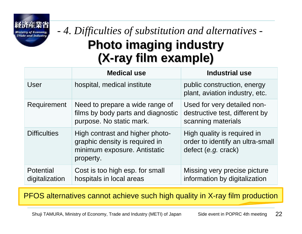### **Photo imaging industry Photo imaging industry (X-ray film example) ray film example)** *- 4. Difficulties of substitution and alternatives -*

|                                    | <b>Medical use</b>                                                                                             | <b>Industrial use</b>                                                                  |
|------------------------------------|----------------------------------------------------------------------------------------------------------------|----------------------------------------------------------------------------------------|
| User                               | hospital, medical institute                                                                                    | public construction, energy<br>plant, aviation industry, etc.                          |
| Requirement                        | Need to prepare a wide range of<br>films by body parts and diagnostic<br>purpose. No static mark.              | Used for very detailed non-<br>destructive test, different by<br>scanning materials    |
| <b>Difficulties</b>                | High contrast and higher photo-<br>graphic density is required in<br>minimum exposure. Antistatic<br>property. | High quality is required in<br>order to identify an ultra-small<br>defect (e.g. crack) |
| <b>Potential</b><br>digitalization | Cost is too high esp. for small<br>hospitals in local areas                                                    | Missing very precise picture<br>information by digitalization                          |

PFOS alternatives cannot achieve such high quality in X-ray film production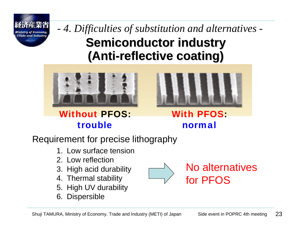![](_page_22_Picture_0.jpeg)

**Semiconductor industry Semiconductor industry (Anti-reflective coating) reflective coating)** *- 4. Difficulties of substitution and alternatives -*

![](_page_22_Picture_2.jpeg)

Without PFOS: trouble

![](_page_22_Figure_4.jpeg)

With PFOS: normal

Requirement for precise lithography

- 1. Low surface tension
- 2. Low reflection
- 3. High acid durability
- 4. Thermal stability
- 5. High UV durability
- 6. Dispersible

No alternatives for PFOS

23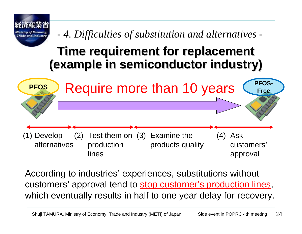![](_page_23_Figure_0.jpeg)

According to industries' experiences, substitutions without customers' approval tend to **stop customer's production lines**, which eventually results in half to one year delay for recovery.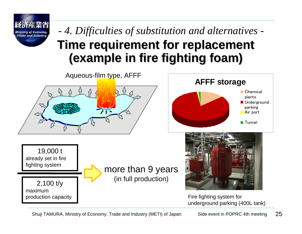![](_page_24_Picture_0.jpeg)

### **Time requirement for replacement (example in fire fighting foam) (example in fire fighting foam)** *- 4. Difficulties of substitution and alternatives -*

![](_page_24_Figure_2.jpeg)

![](_page_24_Figure_3.jpeg)

19,000 t already set in fire fighting system

2,100 t/y maximum production capacity

![](_page_24_Picture_6.jpeg)

![](_page_24_Picture_7.jpeg)

Fire fighting system for underground parking (400L tank)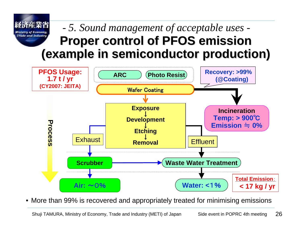#### *- 5. Sound management of acceptable uses -* Trade and Industr **Proper control of PFOS emission Proper control of PFOS emission (example in semiconductor production) (example in semiconductor production)**

![](_page_25_Figure_1.jpeg)

• More than 99% is recovered and appropriately treated for minimising emissions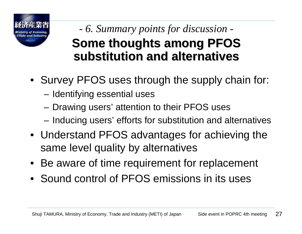![](_page_26_Picture_0.jpeg)

## *- 6. Summary points for discussion -* **Some thoughts among PFOS substitution and alternatives substitution and alternatives**

- Survey PFOS uses through the supply chain for:
	- Identifying essential uses
	- Drawing users' attention to their PFOS uses
	- Inducing users' efforts for substitution and alternatives
- Understand PFOS advantages for achieving the same level quality by alternatives
- Be aware of time requirement for replacement
- Sound control of PFOS emissions in its uses